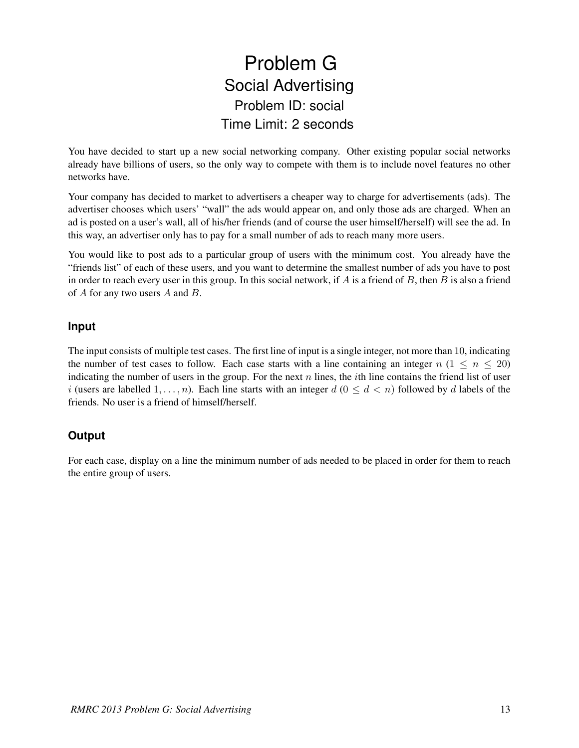## Problem G Social Advertising Problem ID: social Time Limit: 2 seconds

You have decided to start up a new social networking company. Other existing popular social networks already have billions of users, so the only way to compete with them is to include novel features no other networks have.

Your company has decided to market to advertisers a cheaper way to charge for advertisements (ads). The advertiser chooses which users' "wall" the ads would appear on, and only those ads are charged. When an ad is posted on a user's wall, all of his/her friends (and of course the user himself/herself) will see the ad. In this way, an advertiser only has to pay for a small number of ads to reach many more users.

You would like to post ads to a particular group of users with the minimum cost. You already have the "friends list" of each of these users, and you want to determine the smallest number of ads you have to post in order to reach every user in this group. In this social network, if  $A$  is a friend of  $B$ , then  $B$  is also a friend of A for any two users A and B.

## **Input**

The input consists of multiple test cases. The first line of input is a single integer, not more than 10, indicating the number of test cases to follow. Each case starts with a line containing an integer  $n (1 \leq n \leq 20)$ indicating the number of users in the group. For the next n lines, the *i*th line contains the friend list of user i (users are labelled  $1, \ldots, n$ ). Each line starts with an integer  $d$  ( $0 \leq d < n$ ) followed by d labels of the friends. No user is a friend of himself/herself.

## **Output**

For each case, display on a line the minimum number of ads needed to be placed in order for them to reach the entire group of users.